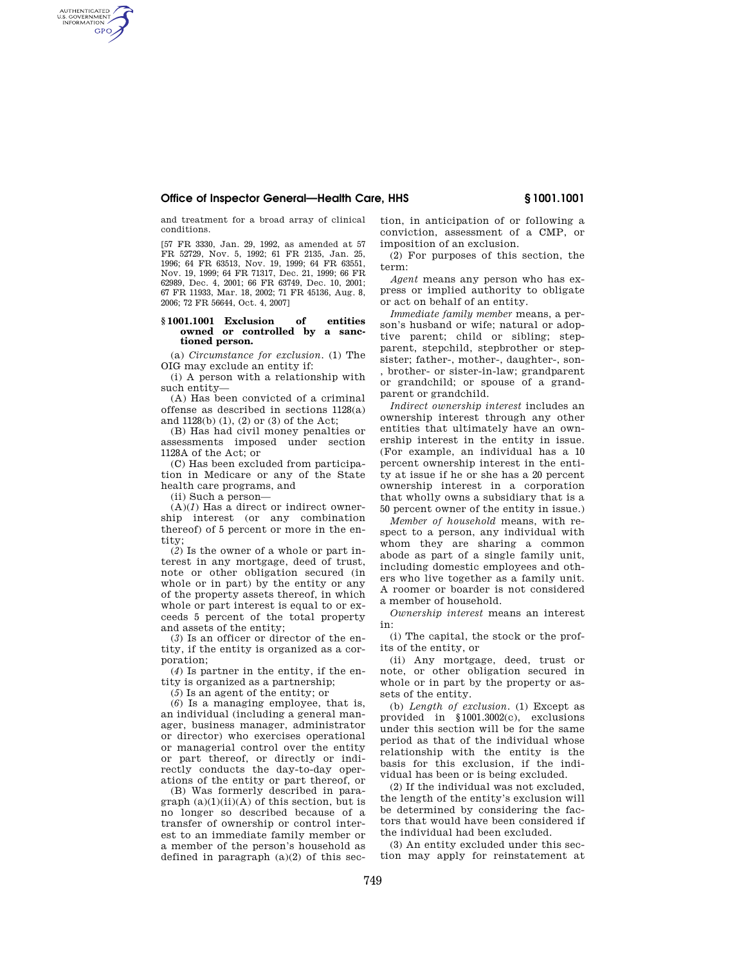# **Office of Inspector General—Health Care, HHS § 1001.1001**

and treatment for a broad array of clinical conditions.

AUTHENTICATED<br>U.S. GOVERNMENT<br>INFORMATION **GPO** 

> [57 FR 3330, Jan. 29, 1992, as amended at 57 FR 52729, Nov. 5, 1992; 61 FR 2135, Jan. 25, 1996; 64 FR 63513, Nov. 19, 1999; 64 FR 63551, Nov. 19, 1999; 64 FR 71317, Dec. 21, 1999; 66 FR 62989, Dec. 4, 2001; 66 FR 63749, Dec. 10, 2001; 67 FR 11933, Mar. 18, 2002; 71 FR 45136, Aug. 8, 2006; 72 FR 56644, Oct. 4, 2007]

### **§ 1001.1001 Exclusion of entities owned or controlled by a sanctioned person.**

(a) *Circumstance for exclusion.* (1) The OIG may exclude an entity if:

(i) A person with a relationship with such entity—

(A) Has been convicted of a criminal offense as described in sections 1128(a) and 1128(b) (1), (2) or (3) of the Act;

(B) Has had civil money penalties or assessments imposed under section 1128A of the Act; or

(C) Has been excluded from participation in Medicare or any of the State health care programs, and

(ii) Such a person—

 $(A)(I)$  Has a direct or indirect ownership interest (or any combination thereof) of 5 percent or more in the entity;

(*2*) Is the owner of a whole or part interest in any mortgage, deed of trust, note or other obligation secured (in whole or in part) by the entity or any of the property assets thereof, in which whole or part interest is equal to or exceeds 5 percent of the total property and assets of the entity;

(*3*) Is an officer or director of the entity, if the entity is organized as a corporation;

(*4*) Is partner in the entity, if the entity is organized as a partnership;

(*5*) Is an agent of the entity; or

(*6*) Is a managing employee, that is, an individual (including a general manager, business manager, administrator or director) who exercises operational or managerial control over the entity or part thereof, or directly or indirectly conducts the day-to-day operations of the entity or part thereof, or

(B) Was formerly described in paragraph  $(a)(1)(ii)(A)$  of this section, but is no longer so described because of a transfer of ownership or control interest to an immediate family member or a member of the person's household as defined in paragraph  $(a)(2)$  of this section, in anticipation of or following a conviction, assessment of a CMP, or imposition of an exclusion.

(2) For purposes of this section, the term:

*Agent* means any person who has express or implied authority to obligate or act on behalf of an entity.

*Immediate family member* means, a person's husband or wife; natural or adoptive parent; child or sibling; stepparent, stepchild, stepbrother or stepsister; father-, mother-, daughter-, son- , brother- or sister-in-law; grandparent or grandchild; or spouse of a grandparent or grandchild.

*Indirect ownership interest* includes an ownership interest through any other entities that ultimately have an ownership interest in the entity in issue. (For example, an individual has a 10 percent ownership interest in the entity at issue if he or she has a 20 percent ownership interest in a corporation that wholly owns a subsidiary that is a 50 percent owner of the entity in issue.)

*Member of household* means, with respect to a person, any individual with whom they are sharing a common abode as part of a single family unit, including domestic employees and others who live together as a family unit. A roomer or boarder is not considered a member of household.

*Ownership interest* means an interest in:

(i) The capital, the stock or the profits of the entity, or

(ii) Any mortgage, deed, trust or note, or other obligation secured in whole or in part by the property or assets of the entity.

(b) *Length of exclusion.* (1) Except as provided in §1001.3002(c), exclusions under this section will be for the same period as that of the individual whose relationship with the entity is the basis for this exclusion, if the individual has been or is being excluded.

(2) If the individual was not excluded, the length of the entity's exclusion will be determined by considering the factors that would have been considered if the individual had been excluded.

(3) An entity excluded under this section may apply for reinstatement at